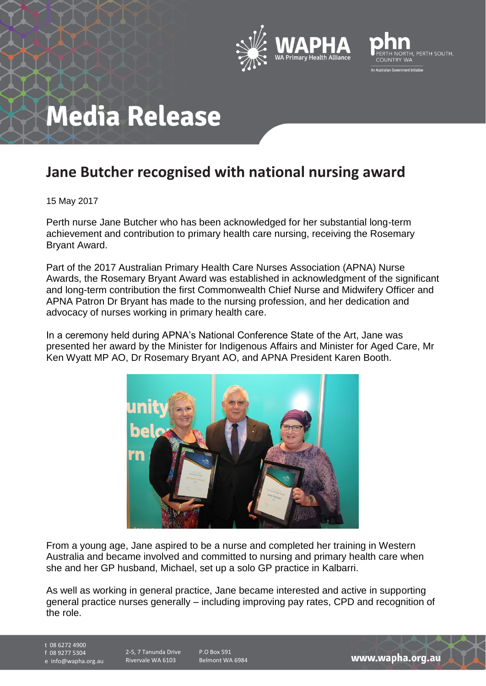



# **Media Release**

## **Jane Butcher recognised with national nursing award**

15 May 2017

Perth nurse Jane Butcher who has been acknowledged for her substantial long-term achievement and contribution to primary health care nursing, receiving the Rosemary Bryant Award.

Part of the 2017 Australian Primary Health Care Nurses Association (APNA) Nurse Awards, the Rosemary Bryant Award was established in acknowledgment of the significant and long-term contribution the first Commonwealth Chief Nurse and Midwifery Officer and APNA Patron Dr Bryant has made to the nursing profession, and her dedication and advocacy of nurses working in primary health care.

In a ceremony held during APNA's National Conference State of the Art, Jane was presented her award by the Minister for Indigenous Affairs and Minister for Aged Care, Mr Ken Wyatt MP AO, Dr Rosemary Bryant AO, and APNA President Karen Booth.



From a young age, Jane aspired to be a nurse and completed her training in Western Australia and became involved and committed to nursing and primary health care when she and her GP husband, Michael, set up a solo GP practice in Kalbarri.

As well as working in general practice, Jane became interested and active in supporting general practice nurses generally – including improving pay rates, CPD and recognition of the role.

t 08 6272 4900 f 08 9277 5304

e info@wapha.org.au

2-5, 7 Tanunda Drive Rivervale WA 6103

P.O Box 591 Belmont WA 6984

www.wapha.org.au